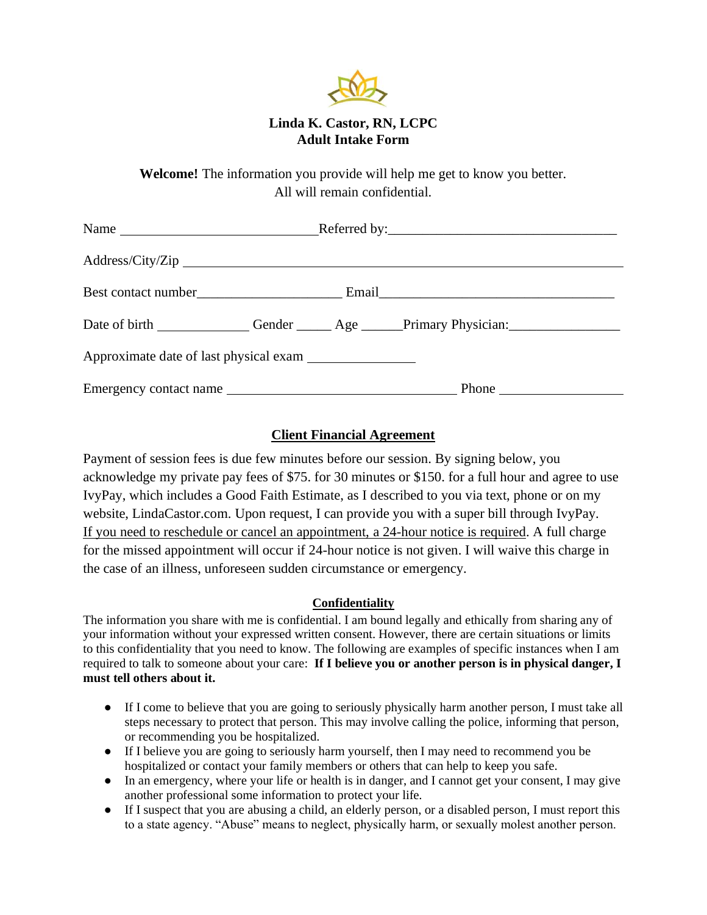

## **Linda K. Castor, RN, LCPC Adult Intake Form**

**Welcome!** The information you provide will help me get to know you better. All will remain confidential.

| Address/City/Zip                                                                                     |  |  |
|------------------------------------------------------------------------------------------------------|--|--|
|                                                                                                      |  |  |
| Date of birth _______________Gender _______ Age ______Primary Physician: ___________________________ |  |  |
|                                                                                                      |  |  |
| Emergency contact name                                                                               |  |  |

## **Client Financial Agreement**

Payment of session fees is due few minutes before our session. By signing below, you acknowledge my private pay fees of \$75. for 30 minutes or \$150. for a full hour and agree to use IvyPay, which includes a Good Faith Estimate, as I described to you via text, phone or on my website, LindaCastor.com. Upon request, I can provide you with a super bill through IvyPay. If you need to reschedule or cancel an appointment, a 24-hour notice is required. A full charge for the missed appointment will occur if 24-hour notice is not given. I will waive this charge in the case of an illness, unforeseen sudden circumstance or emergency.

## **Confidentiality**

The information you share with me is confidential. I am bound legally and ethically from sharing any of your information without your expressed written consent. However, there are certain situations or limits to this confidentiality that you need to know. The following are examples of specific instances when I am required to talk to someone about your care: **If I believe you or another person is in physical danger, I must tell others about it.**

- If I come to believe that you are going to seriously physically harm another person, I must take all steps necessary to protect that person. This may involve calling the police, informing that person, or recommending you be hospitalized.
- If I believe you are going to seriously harm yourself, then I may need to recommend you be hospitalized or contact your family members or others that can help to keep you safe.
- In an emergency, where your life or health is in danger, and I cannot get your consent, I may give another professional some information to protect your life.
- If I suspect that you are abusing a child, an elderly person, or a disabled person, I must report this to a state agency. "Abuse" means to neglect, physically harm, or sexually molest another person.